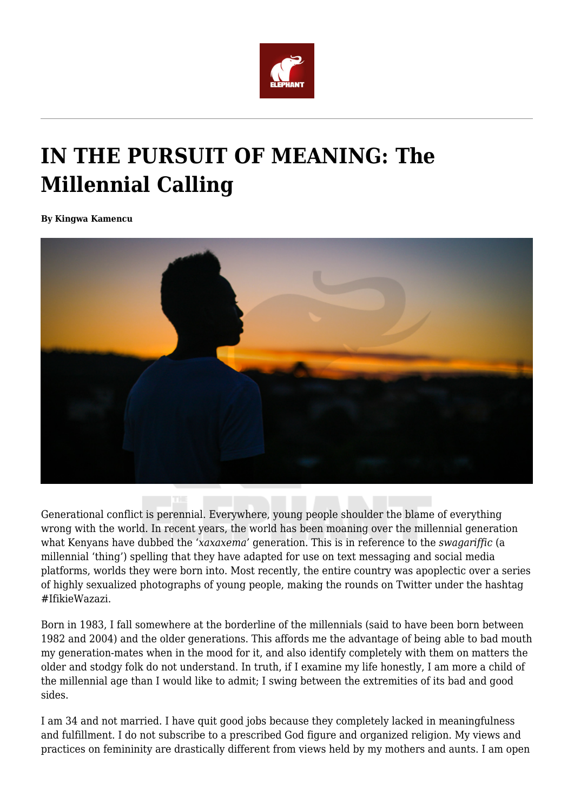

## **IN THE PURSUIT OF MEANING: The Millennial Calling**

**By Kingwa Kamencu**



Generational conflict is perennial. Everywhere, young people shoulder the blame of everything wrong with the world. In recent years, the world has been moaning over the millennial generation what Kenyans have dubbed the '*xaxaxema'* generation. This is in reference to the *swagariffic* (a millennial 'thing') spelling that they have adapted for use on text messaging and social media platforms, worlds they were born into. Most recently, the entire country was apoplectic over a series of highly sexualized photographs of young people, making the rounds on Twitter under the hashtag #IfikieWazazi.

Born in 1983, I fall somewhere at the borderline of the millennials (said to have been born between 1982 and 2004) and the older generations. This affords me the advantage of being able to bad mouth my generation-mates when in the mood for it, and also identify completely with them on matters the older and stodgy folk do not understand. In truth, if I examine my life honestly, I am more a child of the millennial age than I would like to admit; I swing between the extremities of its bad and good sides.

I am 34 and not married. I have quit good jobs because they completely lacked in meaningfulness and fulfillment. I do not subscribe to a prescribed God figure and organized religion. My views and practices on femininity are drastically different from views held by my mothers and aunts. I am open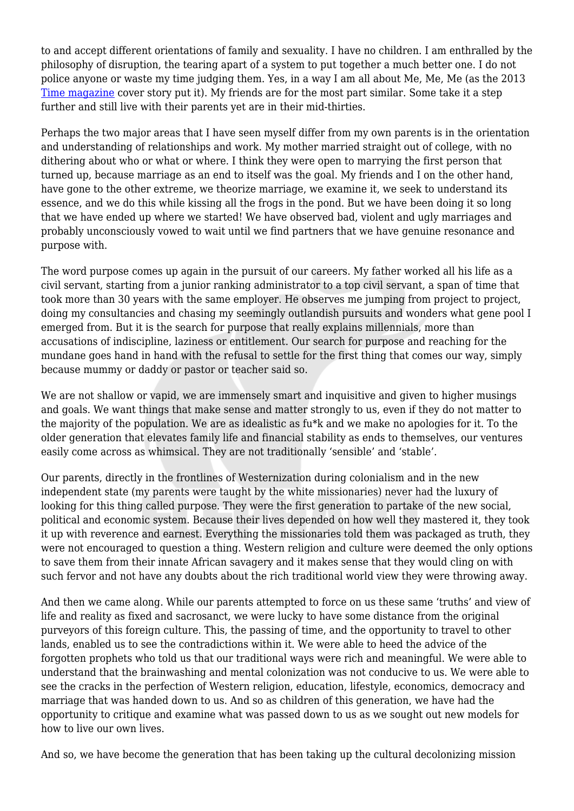to and accept different orientations of family and sexuality. I have no children. I am enthralled by the philosophy of disruption, the tearing apart of a system to put together a much better one. I do not police anyone or waste my time judging them. Yes, in a way I am all about Me, Me, Me (as the 2013 [Time magazine](http://time.com/247/millennials-the-me-me-me-generation/) cover story put it). My friends are for the most part similar. Some take it a step further and still live with their parents yet are in their mid-thirties.

Perhaps the two major areas that I have seen myself differ from my own parents is in the orientation and understanding of relationships and work. My mother married straight out of college, with no dithering about who or what or where. I think they were open to marrying the first person that turned up, because marriage as an end to itself was the goal. My friends and I on the other hand, have gone to the other extreme, we theorize marriage, we examine it, we seek to understand its essence, and we do this while kissing all the frogs in the pond. But we have been doing it so long that we have ended up where we started! We have observed bad, violent and ugly marriages and probably unconsciously vowed to wait until we find partners that we have genuine resonance and purpose with.

The word purpose comes up again in the pursuit of our careers. My father worked all his life as a civil servant, starting from a junior ranking administrator to a top civil servant, a span of time that took more than 30 years with the same employer. He observes me jumping from project to project, doing my consultancies and chasing my seemingly outlandish pursuits and wonders what gene pool I emerged from. But it is the search for purpose that really explains millennials, more than accusations of indiscipline, laziness or entitlement. Our search for purpose and reaching for the mundane goes hand in hand with the refusal to settle for the first thing that comes our way, simply because mummy or daddy or pastor or teacher said so.

We are not shallow or vapid, we are immensely smart and inquisitive and given to higher musings and goals. We want things that make sense and matter strongly to us, even if they do not matter to the majority of the population. We are as idealistic as fu\*k and we make no apologies for it. To the older generation that elevates family life and financial stability as ends to themselves, our ventures easily come across as whimsical. They are not traditionally 'sensible' and 'stable'.

Our parents, directly in the frontlines of Westernization during colonialism and in the new independent state (my parents were taught by the white missionaries) never had the luxury of looking for this thing called purpose. They were the first generation to partake of the new social, political and economic system. Because their lives depended on how well they mastered it, they took it up with reverence and earnest. Everything the missionaries told them was packaged as truth, they were not encouraged to question a thing. Western religion and culture were deemed the only options to save them from their innate African savagery and it makes sense that they would cling on with such fervor and not have any doubts about the rich traditional world view they were throwing away.

And then we came along. While our parents attempted to force on us these same 'truths' and view of life and reality as fixed and sacrosanct, we were lucky to have some distance from the original purveyors of this foreign culture. This, the passing of time, and the opportunity to travel to other lands, enabled us to see the contradictions within it. We were able to heed the advice of the forgotten prophets who told us that our traditional ways were rich and meaningful. We were able to understand that the brainwashing and mental colonization was not conducive to us. We were able to see the cracks in the perfection of Western religion, education, lifestyle, economics, democracy and marriage that was handed down to us. And so as children of this generation, we have had the opportunity to critique and examine what was passed down to us as we sought out new models for how to live our own lives.

And so, we have become the generation that has been taking up the cultural decolonizing mission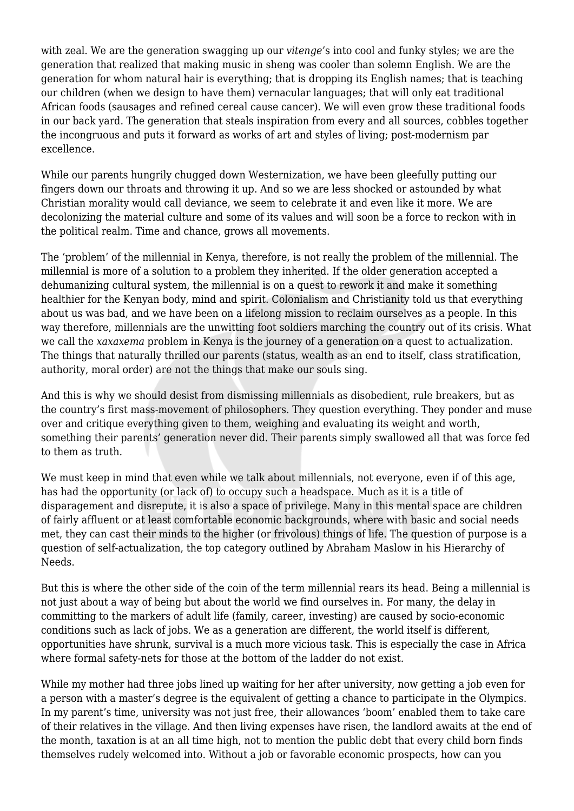with zeal. We are the generation swagging up our *vitenge'*s into cool and funky styles; we are the generation that realized that making music in sheng was cooler than solemn English. We are the generation for whom natural hair is everything; that is dropping its English names; that is teaching our children (when we design to have them) vernacular languages; that will only eat traditional African foods (sausages and refined cereal cause cancer). We will even grow these traditional foods in our back yard. The generation that steals inspiration from every and all sources, cobbles together the incongruous and puts it forward as works of art and styles of living; post-modernism par excellence.

While our parents hungrily chugged down Westernization, we have been gleefully putting our fingers down our throats and throwing it up. And so we are less shocked or astounded by what Christian morality would call deviance, we seem to celebrate it and even like it more. We are decolonizing the material culture and some of its values and will soon be a force to reckon with in the political realm. Time and chance, grows all movements.

The 'problem' of the millennial in Kenya, therefore, is not really the problem of the millennial. The millennial is more of a solution to a problem they inherited. If the older generation accepted a dehumanizing cultural system, the millennial is on a quest to rework it and make it something healthier for the Kenyan body, mind and spirit. Colonialism and Christianity told us that everything about us was bad, and we have been on a lifelong mission to reclaim ourselves as a people. In this way therefore, millennials are the unwitting foot soldiers marching the country out of its crisis. What we call the *xaxaxema* problem in Kenya is the journey of a generation on a quest to actualization. The things that naturally thrilled our parents (status, wealth as an end to itself, class stratification, authority, moral order) are not the things that make our souls sing.

And this is why we should desist from dismissing millennials as disobedient, rule breakers, but as the country's first mass-movement of philosophers. They question everything. They ponder and muse over and critique everything given to them, weighing and evaluating its weight and worth, something their parents' generation never did. Their parents simply swallowed all that was force fed to them as truth.

We must keep in mind that even while we talk about millennials, not everyone, even if of this age, has had the opportunity (or lack of) to occupy such a headspace. Much as it is a title of disparagement and disrepute, it is also a space of privilege. Many in this mental space are children of fairly affluent or at least comfortable economic backgrounds, where with basic and social needs met, they can cast their minds to the higher (or frivolous) things of life. The question of purpose is a question of self-actualization, the top category outlined by Abraham Maslow in his Hierarchy of Needs.

But this is where the other side of the coin of the term millennial rears its head. Being a millennial is not just about a way of being but about the world we find ourselves in. For many, the delay in committing to the markers of adult life (family, career, investing) are caused by socio-economic conditions such as lack of jobs. We as a generation are different, the world itself is different, opportunities have shrunk, survival is a much more vicious task. This is especially the case in Africa where formal safety-nets for those at the bottom of the ladder do not exist.

While my mother had three jobs lined up waiting for her after university, now getting a job even for a person with a master's degree is the equivalent of getting a chance to participate in the Olympics. In my parent's time, university was not just free, their allowances 'boom' enabled them to take care of their relatives in the village. And then living expenses have risen, the landlord awaits at the end of the month, taxation is at an all time high, not to mention the public debt that every child born finds themselves rudely welcomed into. Without a job or favorable economic prospects, how can you